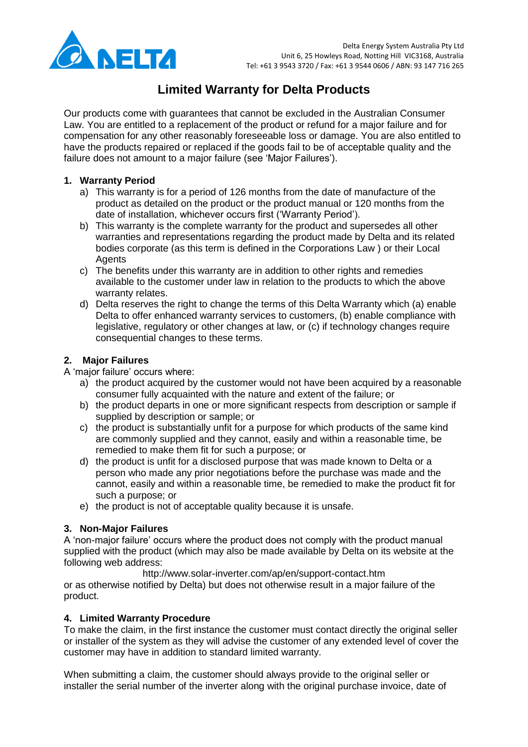

# **Limited Warranty for Delta Products**

Our products come with guarantees that cannot be excluded in the Australian Consumer Law. You are entitled to a replacement of the product or refund for a major failure and for compensation for any other reasonably foreseeable loss or damage. You are also entitled to have the products repaired or replaced if the goods fail to be of acceptable quality and the failure does not amount to a major failure (see 'Major Failures').

#### **1. Warranty Period**

- a) This warranty is for a period of 126 months from the date of manufacture of the product as detailed on the product or the product manual or 120 months from the date of installation, whichever occurs first ("Warranty Period").
- b) This warranty is the complete warranty for the product and supersedes all other warranties and representations regarding the product made by Delta and its related bodies corporate (as this term is defined in the Corporations Law ) or their Local **Agents**
- c) The benefits under this warranty are in addition to other rights and remedies available to the customer under law in relation to the products to which the above warranty relates.
- d) Delta reserves the right to change the terms of this Delta Warranty which (a) enable Delta to offer enhanced warranty services to customers, (b) enable compliance with legislative, regulatory or other changes at law, or (c) if technology changes require consequential changes to these terms.

## **2. Major Failures**

A "major failure" occurs where:

- a) the product acquired by the customer would not have been acquired by a reasonable consumer fully acquainted with the nature and extent of the failure; or
- b) the product departs in one or more significant respects from description or sample if supplied by description or sample; or
- c) the product is substantially unfit for a purpose for which products of the same kind are commonly supplied and they cannot, easily and within a reasonable time, be remedied to make them fit for such a purpose; or
- d) the product is unfit for a disclosed purpose that was made known to Delta or a person who made any prior negotiations before the purchase was made and the cannot, easily and within a reasonable time, be remedied to make the product fit for such a purpose; or
- e) the product is not of acceptable quality because it is unsafe.

## **3. Non-Major Failures**

A "non-major failure" occurs where the product does not comply with the product manual supplied with the product (which may also be made available by Delta on its website at the following web address:

<http://www.solar-inverter.com/ap/en/support-contact.htm>

or as otherwise notified by Delta) but does not otherwise result in a major failure of the product.

## **4. Limited Warranty Procedure**

To make the claim, in the first instance the customer must contact directly the original seller or installer of the system as they will advise the customer of any extended level of cover the customer may have in addition to standard limited warranty.

When submitting a claim, the customer should always provide to the original seller or installer the serial number of the inverter along with the original purchase invoice, date of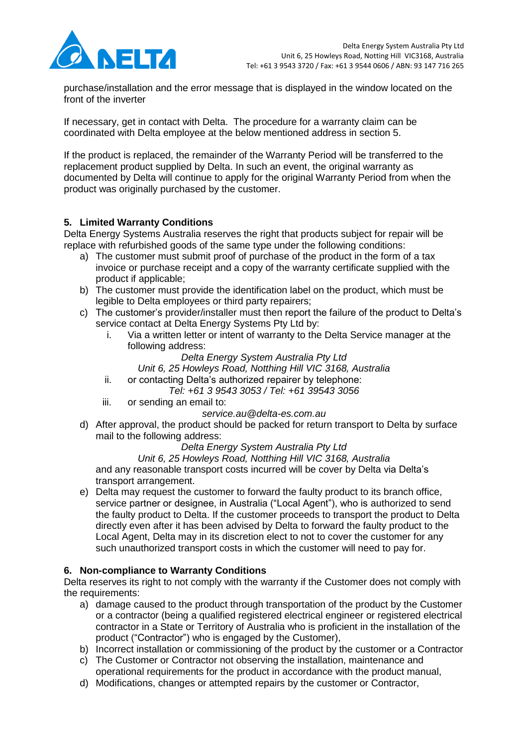

purchase/installation and the error message that is displayed in the window located on the front of the inverter

If necessary, get in contact with Delta. The procedure for a warranty claim can be coordinated with Delta employee at the below mentioned address in section 5.

If the product is replaced, the remainder of the Warranty Period will be transferred to the replacement product supplied by Delta. In such an event, the original warranty as documented by Delta will continue to apply for the original Warranty Period from when the product was originally purchased by the customer.

## **5. Limited Warranty Conditions**

Delta Energy Systems Australia reserves the right that products subject for repair will be replace with refurbished goods of the same type under the following conditions:

- a) The customer must submit proof of purchase of the product in the form of a tax invoice or purchase receipt and a copy of the warranty certificate supplied with the product if applicable;
- b) The customer must provide the identification label on the product, which must be legible to Delta employees or third party repairers;
- c) The customer"s provider/installer must then report the failure of the product to Delta"s service contact at Delta Energy Systems Pty Ltd by:
	- i. Via a written letter or intent of warranty to the Delta Service manager at the following address:

*Delta Energy System Australia Pty Ltd*

*Unit 6, 25 Howleys Road, Notthing Hill VIC 3168, Australia*

ii. or contacting Delta's authorized repairer by telephone:

*Tel: +61 3 9543 3053 / Tel: +61 39543 3056*

iii. or sending an email to:

## *service.au@delta-es.com.au*

d) After approval, the product should be packed for return transport to Delta by surface mail to the following address:

## *Delta Energy System Australia Pty Ltd*

*Unit 6, 25 Howleys Road, Notthing Hill VIC 3168, Australia* and any reasonable transport costs incurred will be cover by Delta via Delta"s transport arrangement.

e) Delta may request the customer to forward the faulty product to its branch office, service partner or designee, in Australia ("Local Agent"), who is authorized to send the faulty product to Delta. If the customer proceeds to transport the product to Delta directly even after it has been advised by Delta to forward the faulty product to the Local Agent, Delta may in its discretion elect to not to cover the customer for any such unauthorized transport costs in which the customer will need to pay for.

## **6. Non-compliance to Warranty Conditions**

Delta reserves its right to not comply with the warranty if the Customer does not comply with the requirements:

- a) damage caused to the product through transportation of the product by the Customer or a contractor (being a qualified registered electrical engineer or registered electrical contractor in a State or Territory of Australia who is proficient in the installation of the product ("Contractor") who is engaged by the Customer),
- b) Incorrect installation or commissioning of the product by the customer or a Contractor
- c) The Customer or Contractor not observing the installation, maintenance and operational requirements for the product in accordance with the product manual,
- d) Modifications, changes or attempted repairs by the customer or Contractor,